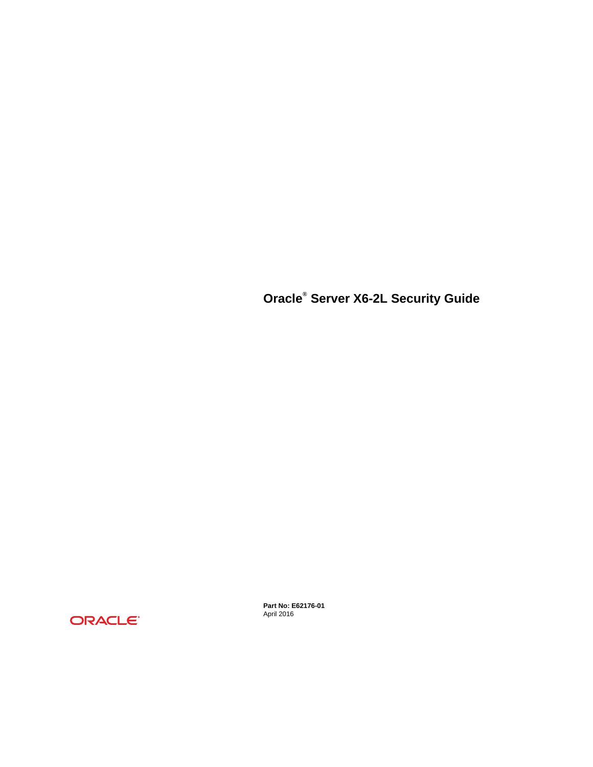**Oracle® Server X6-2L Security Guide**



**Part No: E62176-01** April 2016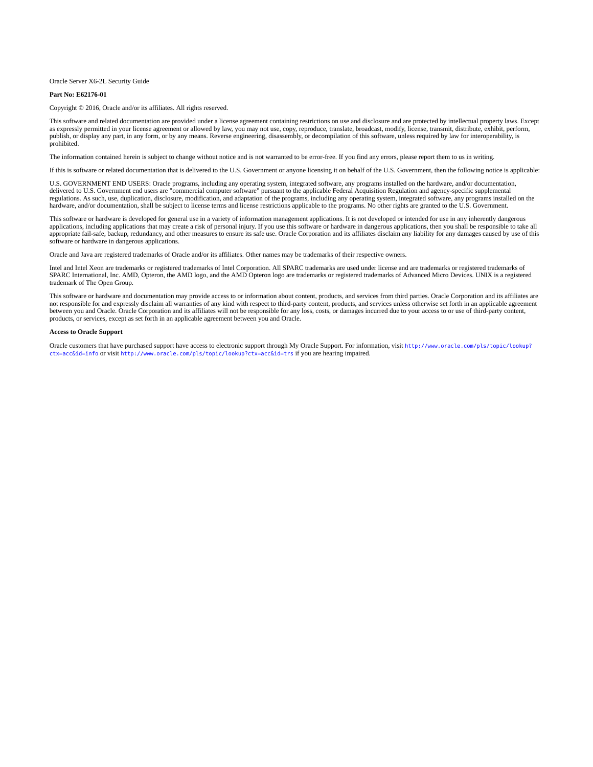Oracle Server X6-2L Security Guide

#### **Part No: E62176-01**

Copyright © 2016, Oracle and/or its affiliates. All rights reserved.

This software and related documentation are provided under a license agreement containing restrictions on use and disclosure and are protected by intellectual property laws. Except as expressly permitted in your license agreement or allowed by law, you may not use, copy, reproduce, translate, broadcast, modify, license, transmit, distribute, exhibit, perform,<br>publish, or display any part, in any form prohibited.

The information contained herein is subject to change without notice and is not warranted to be error-free. If you find any errors, please report them to us in writing.

If this is software or related documentation that is delivered to the U.S. Government or anyone licensing it on behalf of the U.S. Government, then the following notice is applicable:

U.S. GOVERNMENT END USERS: Oracle programs, including any operating system, integrated software, any programs installed on the hardware, and/or documentation, delivered to U.S. Government end users are "commercial computer software" pursuant to the applicable Federal Acquisition Regulation and agency-specific supplemental regulations. As such, use, duplication, disclosure, modification, and adaptation of the programs, including any operating system, integrated software, any programs installed on the<br>hardware, and/or documentation, shall be

This software or hardware is developed for general use in a variety of information management applications. It is not developed or intended for use in any inherently dangerous applications, including applications that may create a risk of personal injury. If you use this software or hardware in dangerous applications, then you shall be responsible to take all appropriate fail-safe, backup, redundancy, and other measures to ensure its safe use. Oracle Corporation and its affiliates disclaim any liability for any damages caused by use of this software or hardware in dangerous applications.

Oracle and Java are registered trademarks of Oracle and/or its affiliates. Other names may be trademarks of their respective owners.

Intel and Intel Xeon are trademarks or registered trademarks of Intel Corporation. All SPARC trademarks are used under license and are trademarks or registered trademarks of SPARC International, Inc. AMD, Opteron, the AMD logo, and the AMD Opteron logo are trademarks or registered trademarks of Advanced Micro Devices. UNIX is a registered trademark of The Open Group.

This software or hardware and documentation may provide access to or information about content, products, and services from third parties. Oracle Corporation and its affiliates are not responsible for and expressly disclaim all warranties of any kind with respect to third-party content, products, and services unless otherwise set forth in an applicable agreement between you and Oracle. Oracle Corporation and its affiliates will not be responsible for any loss, costs, or damages incurred due to your access to or use of third-party content, products, or services, except as set forth in an applicable agreement between you and Oracle.

#### **Access to Oracle Support**

Oracle customers that have purchased support have access to electronic support through My Oracle Support. For information, visit [http://www.oracle.com/pls/topic/lookup?](http://www.oracle.com/pls/topic/lookup?ctx=acc&id=info) [ctx=acc&id=info](http://www.oracle.com/pls/topic/lookup?ctx=acc&id=info) or visit <http://www.oracle.com/pls/topic/lookup?ctx=acc&id=trs> if you are hearing impaired.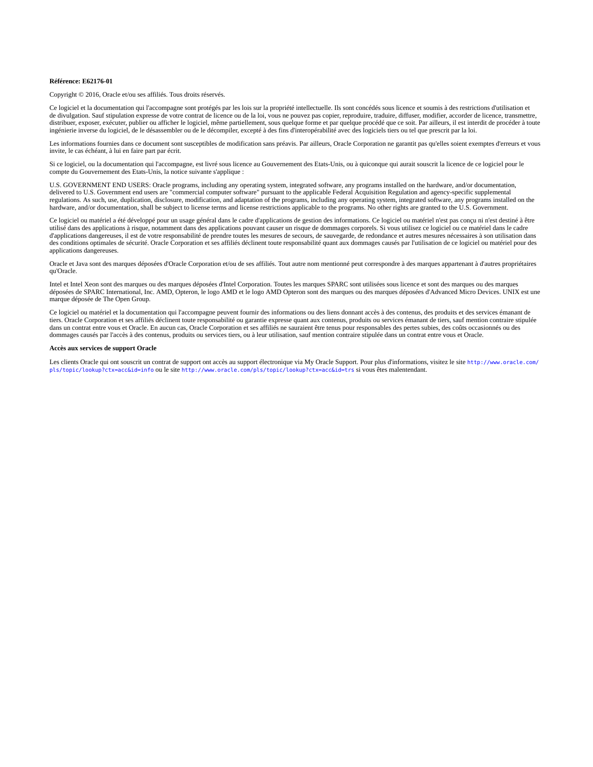#### **Référence: E62176-01**

Copyright © 2016, Oracle et/ou ses affiliés. Tous droits réservés.

Ce logiciel et la documentation qui l'accompagne sont protégés par les lois sur la propriété intellectuelle. Ils sont concédés sous licence et soumis à des restrictions d'utilisation et de divulgation. Sauf stipulation expresse de votre contrat de licence ou de la loi, vous ne pouvez pas copier, reproduire, traduire, diffuser, modifier, accorder de licence, transmettre, distribuer, exposer, exécuter, publier ou afficher le logiciel, même partiellement, sous quelque forme et par quelque procédé que ce soit. Par ailleurs, il est interdit de procéder à toute ingénierie inverse du logiciel, de le désassembler ou de le décompiler, excepté à des fins d'interopérabilité avec des logiciels tiers ou tel que prescrit par la loi.

Les informations fournies dans ce document sont susceptibles de modification sans préavis. Par ailleurs, Oracle Corporation ne garantit pas qu'elles soient exemptes d'erreurs et vous invite, le cas échéant, à lui en faire part par écrit.

Si ce logiciel, ou la documentation qui l'accompagne, est livré sous licence au Gouvernement des Etats-Unis, ou à quiconque qui aurait souscrit la licence de ce logiciel pour le compte du Gouvernement des Etats-Unis, la notice suivante s'applique :

U.S. GOVERNMENT END USERS: Oracle programs, including any operating system, integrated software, any programs installed on the hardware, and/or documentation, delivered to U.S. Government end users are "commercial computer software" pursuant to the applicable Federal Acquisition Regulation and agency-specific supplemental<br>regulations. As such, use, duplication, disclosure, modif hardware, and/or documentation, shall be subject to license terms and license restrictions applicable to the programs. No other rights are granted to the U.S. Government.

Ce logiciel ou matériel a été développé pour un usage général dans le cadre d'applications de gestion des informations. Ce logiciel ou matériel n'est pas conçu ni n'est destiné à être utilisé dans des applications à risque, notamment dans des applications pouvant causer un risque de dommages corporels. Si vous utilisez ce logiciel ou ce matériel dans le cadre d'applications dangereuses, il est de votre responsabilité de prendre toutes les mesures de secours, de sauvegarde, de redondance et autres mesures nécessaires à son utilisation dans des conditions optimales de sécurité. Oracle Corporation et ses affiliés déclinent toute responsabilité quant aux dommages causés par l'utilisation de ce logiciel ou matériel pour des applications dangereuses.

Oracle et Java sont des marques déposées d'Oracle Corporation et/ou de ses affiliés. Tout autre nom mentionné peut correspondre à des marques appartenant à d'autres propriétaires qu'Oracle.

Intel et Intel Xeon sont des marques ou des marques déposées d'Intel Corporation. Toutes les marques SPARC sont utilisées sous licence et sont des marques ou des marques déposées de SPARC International, Inc. AMD, Opteron, le logo AMD et le logo AMD Opteron sont des marques ou des marques déposées d'Advanced Micro Devices. UNIX est une marque déposée de The Open Group.

Ce logiciel ou matériel et la documentation qui l'accompagne peuvent fournir des informations ou des liens donnant accès à des contenus, des produits et des services émanant de tiers. Oracle Corporation et ses affiliés déclinent toute responsabilité ou garantie expresse quant aux contenus, produits ou services émanant de tiers, sauf mention contraire stipulée dans un contrat entre vous et Oracle. En aucun cas, Oracle Corporation et ses affiliés ne sauraient être tenus pour responsables des pertes subies, des coûts occasionnés ou des dommages causés par l'accès à des contenus, produits ou services tiers, ou à leur utilisation, sauf mention contraire stipulée dans un contrat entre vous et Oracle.

#### **Accès aux services de support Oracle**

Les clients Oracle qui ont souscrit un contrat de support ont accès au support électronique via My Oracle Support. Pour plus d'informations, visitez le site [http://www.oracle.com/](http://www.oracle.com/pls/topic/lookup?ctx=acc&id=info) [pls/topic/lookup?ctx=acc&id=info](http://www.oracle.com/pls/topic/lookup?ctx=acc&id=info) ou le site <http://www.oracle.com/pls/topic/lookup?ctx=acc&id=trs> si vous êtes malentendant.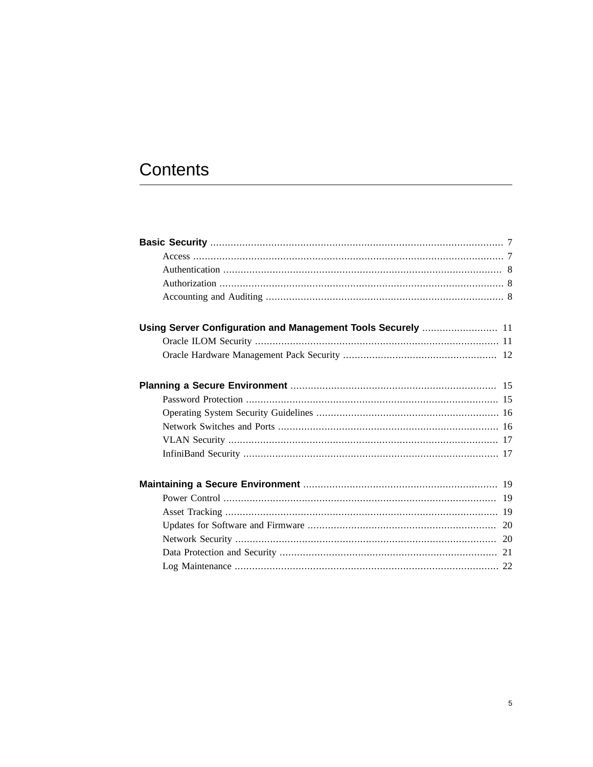# Contents

| Using Server Configuration and Management Tools Securely  11 |
|--------------------------------------------------------------|
|                                                              |
|                                                              |
|                                                              |
|                                                              |
|                                                              |
|                                                              |
|                                                              |
|                                                              |
|                                                              |
|                                                              |
|                                                              |
|                                                              |
|                                                              |
|                                                              |
|                                                              |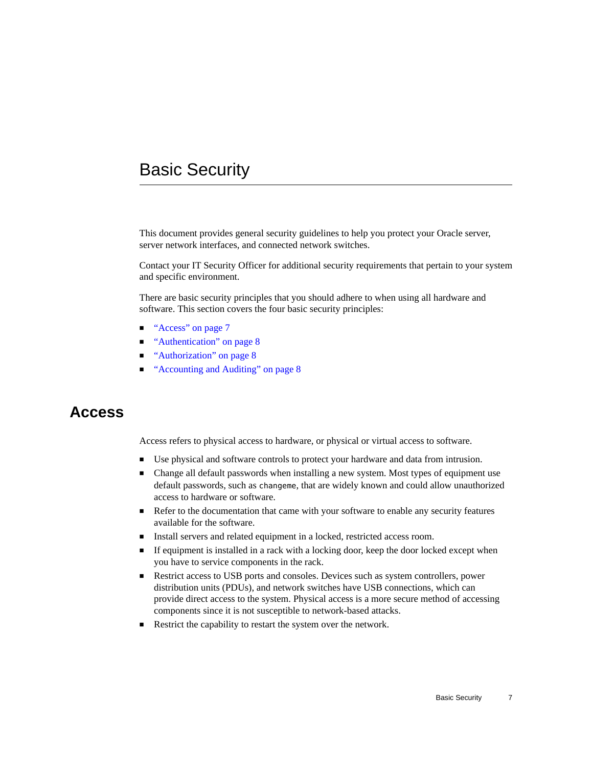# <span id="page-6-0"></span>Basic Security

This document provides general security guidelines to help you protect your Oracle server, server network interfaces, and connected network switches.

Contact your IT Security Officer for additional security requirements that pertain to your system and specific environment.

There are basic security principles that you should adhere to when using all hardware and software. This section covers the four basic security principles:

- ["Access" on page 7](#page-6-1)
- ["Authentication" on page 8](#page-7-0)
- ["Authorization" on page 8](#page-7-1)
- ["Accounting and Auditing" on page 8](#page-7-2)

### <span id="page-6-1"></span>**Access**

Access refers to physical access to hardware, or physical or virtual access to software.

- Use physical and software controls to protect your hardware and data from intrusion.
- Change all default passwords when installing a new system. Most types of equipment use default passwords, such as changeme, that are widely known and could allow unauthorized access to hardware or software.
- Refer to the documentation that came with your software to enable any security features available for the software.
- Install servers and related equipment in a locked, restricted access room.
- If equipment is installed in a rack with a locking door, keep the door locked except when you have to service components in the rack.
- Restrict access to USB ports and consoles. Devices such as system controllers, power distribution units (PDUs), and network switches have USB connections, which can provide direct access to the system. Physical access is a more secure method of accessing components since it is not susceptible to network-based attacks.
- Restrict the capability to restart the system over the network.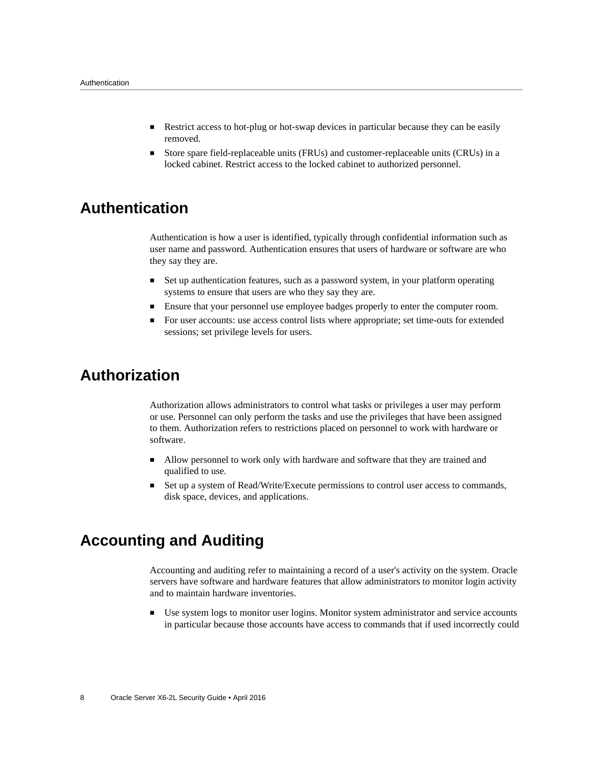- Restrict access to hot-plug or hot-swap devices in particular because they can be easily removed.
- Store spare field-replaceable units (FRUs) and customer-replaceable units (CRUs) in a locked cabinet. Restrict access to the locked cabinet to authorized personnel.

# <span id="page-7-0"></span>**Authentication**

Authentication is how a user is identified, typically through confidential information such as user name and password. Authentication ensures that users of hardware or software are who they say they are.

- Set up authentication features, such as a password system, in your platform operating systems to ensure that users are who they say they are.
- Ensure that your personnel use employee badges properly to enter the computer room.
- For user accounts: use access control lists where appropriate; set time-outs for extended sessions; set privilege levels for users.

# <span id="page-7-1"></span>**Authorization**

Authorization allows administrators to control what tasks or privileges a user may perform or use. Personnel can only perform the tasks and use the privileges that have been assigned to them. Authorization refers to restrictions placed on personnel to work with hardware or software.

- Allow personnel to work only with hardware and software that they are trained and qualified to use.
- Set up a system of Read/Write/Execute permissions to control user access to commands, disk space, devices, and applications.

# <span id="page-7-2"></span>**Accounting and Auditing**

Accounting and auditing refer to maintaining a record of a user's activity on the system. Oracle servers have software and hardware features that allow administrators to monitor login activity and to maintain hardware inventories.

Use system logs to monitor user logins. Monitor system administrator and service accounts in particular because those accounts have access to commands that if used incorrectly could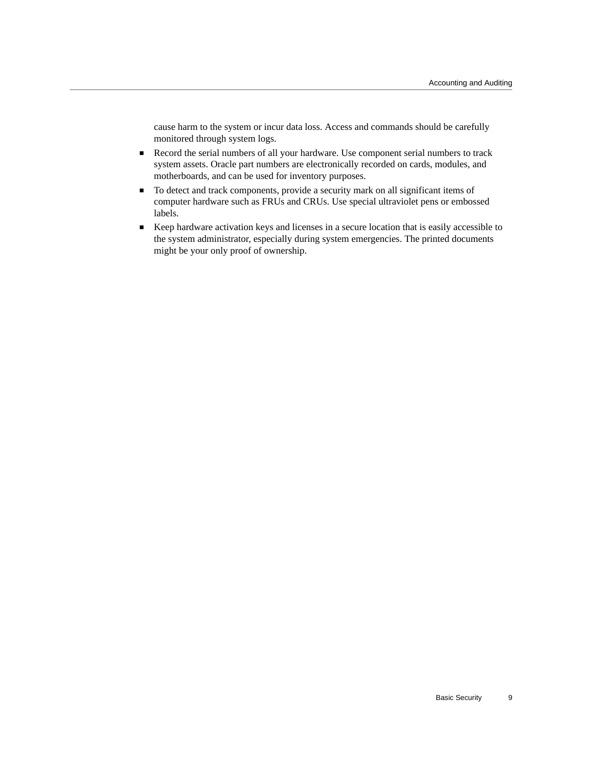cause harm to the system or incur data loss. Access and commands should be carefully monitored through system logs.

- Record the serial numbers of all your hardware. Use component serial numbers to track system assets. Oracle part numbers are electronically recorded on cards, modules, and motherboards, and can be used for inventory purposes.
- To detect and track components, provide a security mark on all significant items of computer hardware such as FRUs and CRUs. Use special ultraviolet pens or embossed labels.
- Keep hardware activation keys and licenses in a secure location that is easily accessible to the system administrator, especially during system emergencies. The printed documents might be your only proof of ownership.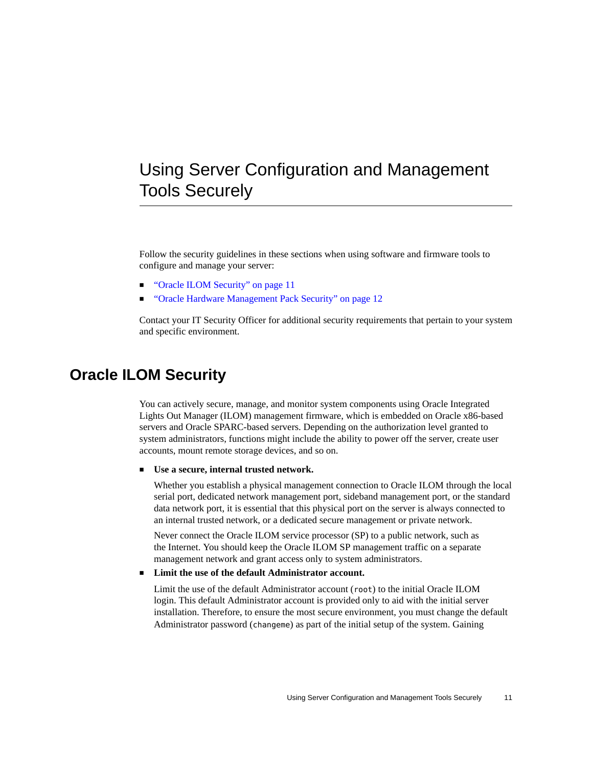# <span id="page-10-0"></span>Using Server Configuration and Management Tools Securely

Follow the security guidelines in these sections when using software and firmware tools to configure and manage your server:

- ["Oracle ILOM Security" on page 11](#page-10-1)
- ["Oracle Hardware Management Pack Security" on page 12](#page-11-0)

Contact your IT Security Officer for additional security requirements that pertain to your system and specific environment.

# <span id="page-10-1"></span>**Oracle ILOM Security**

You can actively secure, manage, and monitor system components using Oracle Integrated Lights Out Manager (ILOM) management firmware, which is embedded on Oracle x86-based servers and Oracle SPARC-based servers. Depending on the authorization level granted to system administrators, functions might include the ability to power off the server, create user accounts, mount remote storage devices, and so on.

#### Use a secure, internal trusted network.

Whether you establish a physical management connection to Oracle ILOM through the local serial port, dedicated network management port, sideband management port, or the standard data network port, it is essential that this physical port on the server is always connected to an internal trusted network, or a dedicated secure management or private network.

Never connect the Oracle ILOM service processor (SP) to a public network, such as the Internet. You should keep the Oracle ILOM SP management traffic on a separate management network and grant access only to system administrators.

**Limit the use of the default Administrator account.** 

Limit the use of the default Administrator account (root) to the initial Oracle ILOM login. This default Administrator account is provided only to aid with the initial server installation. Therefore, to ensure the most secure environment, you must change the default Administrator password (changeme) as part of the initial setup of the system. Gaining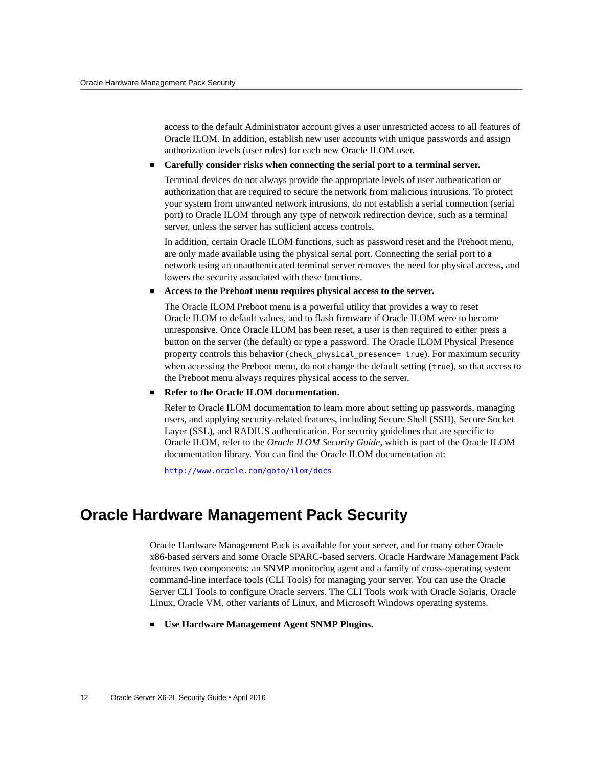access to the default Administrator account gives a user unrestricted access to all features of Oracle ILOM. In addition, establish new user accounts with unique passwords and assign authorization levels (user roles) for each new Oracle ILOM user.

#### ■ **Carefully consider risks when connecting the serial port to a terminal server.**

Terminal devices do not always provide the appropriate levels of user authentication or authorization that are required to secure the network from malicious intrusions. To protect your system from unwanted network intrusions, do not establish a serial connection (serial port) to Oracle ILOM through any type of network redirection device, such as a terminal server, unless the server has sufficient access controls.

In addition, certain Oracle ILOM functions, such as password reset and the Preboot menu, are only made available using the physical serial port. Connecting the serial port to a network using an unauthenticated terminal server removes the need for physical access, and lowers the security associated with these functions.

#### Access to the Preboot menu requires physical access to the server.

The Oracle ILOM Preboot menu is a powerful utility that provides a way to reset Oracle ILOM to default values, and to flash firmware if Oracle ILOM were to become unresponsive. Once Oracle ILOM has been reset, a user is then required to either press a button on the server (the default) or type a password. The Oracle ILOM Physical Presence property controls this behavior (check\_physical\_presence= true). For maximum security when accessing the Preboot menu, do not change the default setting (true), so that access to the Preboot menu always requires physical access to the server.

#### **Refer to the Oracle ILOM documentation.**

Refer to Oracle ILOM documentation to learn more about setting up passwords, managing users, and applying security-related features, including Secure Shell (SSH), Secure Socket Layer (SSL), and RADIUS authentication. For security guidelines that are specific to Oracle ILOM, refer to the *Oracle ILOM Security Guide*, which is part of the Oracle ILOM documentation library. You can find the Oracle ILOM documentation at:

<http://www.oracle.com/goto/ilom/docs>

# <span id="page-11-0"></span>**Oracle Hardware Management Pack Security**

Oracle Hardware Management Pack is available for your server, and for many other Oracle x86-based servers and some Oracle SPARC-based servers. Oracle Hardware Management Pack features two components: an SNMP monitoring agent and a family of cross-operating system command-line interface tools (CLI Tools) for managing your server. You can use the Oracle Server CLI Tools to configure Oracle servers. The CLI Tools work with Oracle Solaris, Oracle Linux, Oracle VM, other variants of Linux, and Microsoft Windows operating systems.

■ **Use Hardware Management Agent SNMP Plugins.**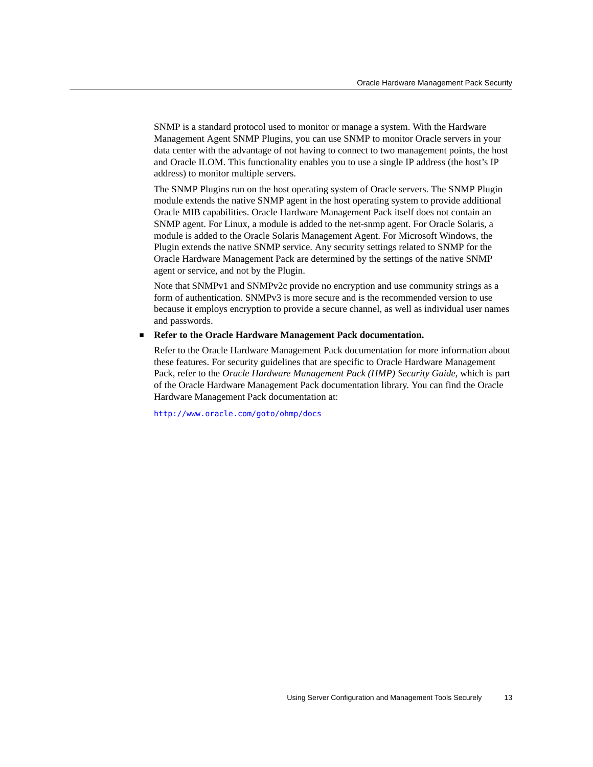SNMP is a standard protocol used to monitor or manage a system. With the Hardware Management Agent SNMP Plugins, you can use SNMP to monitor Oracle servers in your data center with the advantage of not having to connect to two management points, the host and Oracle ILOM. This functionality enables you to use a single IP address (the host's IP address) to monitor multiple servers.

The SNMP Plugins run on the host operating system of Oracle servers. The SNMP Plugin module extends the native SNMP agent in the host operating system to provide additional Oracle MIB capabilities. Oracle Hardware Management Pack itself does not contain an SNMP agent. For Linux, a module is added to the net-snmp agent. For Oracle Solaris, a module is added to the Oracle Solaris Management Agent. For Microsoft Windows, the Plugin extends the native SNMP service. Any security settings related to SNMP for the Oracle Hardware Management Pack are determined by the settings of the native SNMP agent or service, and not by the Plugin.

Note that SNMPv1 and SNMPv2c provide no encryption and use community strings as a form of authentication. SNMPv3 is more secure and is the recommended version to use because it employs encryption to provide a secure channel, as well as individual user names and passwords.

#### **Refer to the Oracle Hardware Management Pack documentation.**

Refer to the Oracle Hardware Management Pack documentation for more information about these features. For security guidelines that are specific to Oracle Hardware Management Pack, refer to the *Oracle Hardware Management Pack (HMP) Security Guide*, which is part of the Oracle Hardware Management Pack documentation library. You can find the Oracle Hardware Management Pack documentation at:

<http://www.oracle.com/goto/ohmp/docs>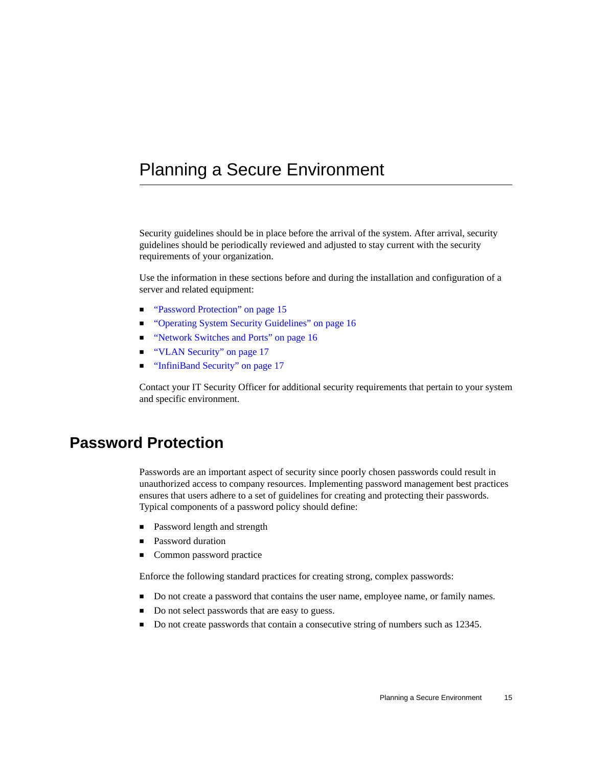# <span id="page-14-0"></span>Planning a Secure Environment

Security guidelines should be in place before the arrival of the system. After arrival, security guidelines should be periodically reviewed and adjusted to stay current with the security requirements of your organization.

Use the information in these sections before and during the installation and configuration of a server and related equipment:

- ["Password Protection" on page 15](#page-14-1)
- ["Operating System Security Guidelines" on page 16](#page-15-0)
- ["Network Switches and Ports" on page 16](#page-15-1)
- ["VLAN Security" on page 17](#page-16-0)
- ["InfiniBand Security" on page 17](#page-16-1)

Contact your IT Security Officer for additional security requirements that pertain to your system and specific environment.

### <span id="page-14-1"></span>**Password Protection**

Passwords are an important aspect of security since poorly chosen passwords could result in unauthorized access to company resources. Implementing password management best practices ensures that users adhere to a set of guidelines for creating and protecting their passwords. Typical components of a password policy should define:

- Password length and strength
- Password duration
- Common password practice

Enforce the following standard practices for creating strong, complex passwords:

- Do not create a password that contains the user name, employee name, or family names.
- Do not select passwords that are easy to guess.
- Do not create passwords that contain a consecutive string of numbers such as 12345.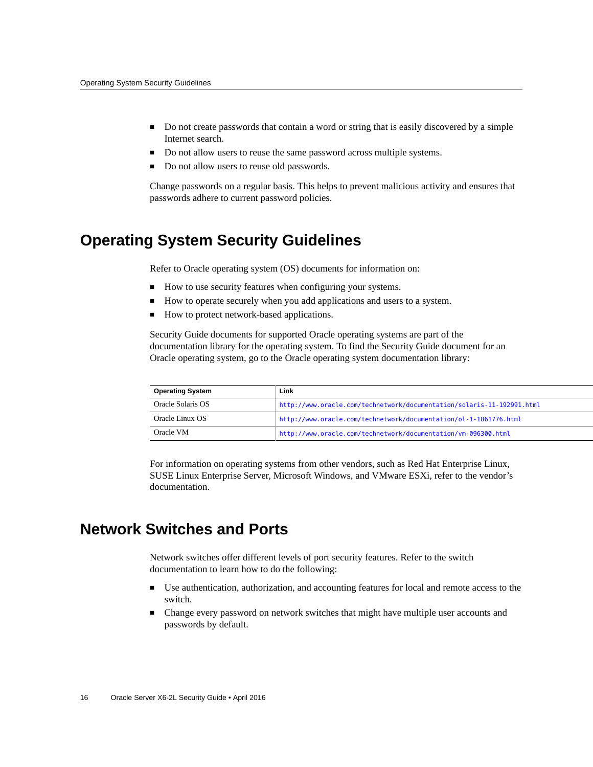- Do not create passwords that contain a word or string that is easily discovered by a simple Internet search.
- Do not allow users to reuse the same password across multiple systems.
- Do not allow users to reuse old passwords.

Change passwords on a regular basis. This helps to prevent malicious activity and ensures that passwords adhere to current password policies.

# <span id="page-15-0"></span>**Operating System Security Guidelines**

Refer to Oracle operating system (OS) documents for information on:

- How to use security features when configuring your systems.
- How to operate securely when you add applications and users to a system.
- How to protect network-based applications.

Security Guide documents for supported Oracle operating systems are part of the documentation library for the operating system. To find the Security Guide document for an Oracle operating system, go to the Oracle operating system documentation library:

| <b>Operating System</b> | Link                                                                   |
|-------------------------|------------------------------------------------------------------------|
| Oracle Solaris OS       | http://www.oracle.com/technetwork/documentation/solaris-11-192991.html |
| Oracle Linux OS         | http://www.oracle.com/technetwork/documentation/ol-1-1861776.html      |
| Oracle VM               | http://www.oracle.com/technetwork/documentation/vm-096300.html         |

For information on operating systems from other vendors, such as Red Hat Enterprise Linux, SUSE Linux Enterprise Server, Microsoft Windows, and VMware ESXi, refer to the vendor's documentation.

# <span id="page-15-1"></span>**Network Switches and Ports**

Network switches offer different levels of port security features. Refer to the switch documentation to learn how to do the following:

- Use authentication, authorization, and accounting features for local and remote access to the switch.
- Change every password on network switches that might have multiple user accounts and passwords by default.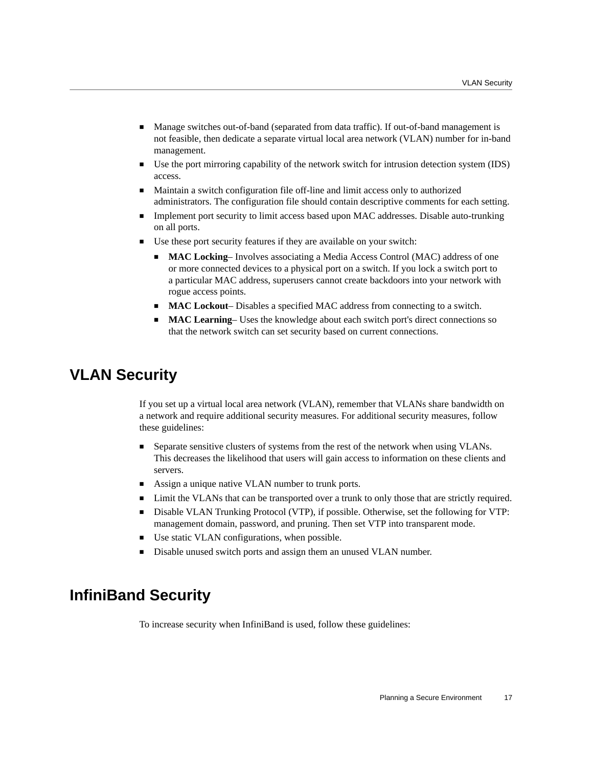- Manage switches out-of-band (separated from data traffic). If out-of-band management is not feasible, then dedicate a separate virtual local area network (VLAN) number for in-band management.
- Use the port mirroring capability of the network switch for intrusion detection system (IDS) access.
- Maintain a switch configuration file off-line and limit access only to authorized administrators. The configuration file should contain descriptive comments for each setting.
- Implement port security to limit access based upon MAC addresses. Disable auto-trunking on all ports.
- Use these port security features if they are available on your switch:
	- **MAC Locking** Involves associating a Media Access Control (MAC) address of one or more connected devices to a physical port on a switch. If you lock a switch port to a particular MAC address, superusers cannot create backdoors into your network with rogue access points.
	- **MAC Lockout** Disables a specified MAC address from connecting to a switch.
	- **MAC Learning** Uses the knowledge about each switch port's direct connections so that the network switch can set security based on current connections.

### <span id="page-16-0"></span>**VLAN Security**

If you set up a virtual local area network (VLAN), remember that VLANs share bandwidth on a network and require additional security measures. For additional security measures, follow these guidelines:

- Separate sensitive clusters of systems from the rest of the network when using VLANs. This decreases the likelihood that users will gain access to information on these clients and servers.
- Assign a unique native VLAN number to trunk ports.
- Limit the VLANs that can be transported over a trunk to only those that are strictly required.
- Disable VLAN Trunking Protocol (VTP), if possible. Otherwise, set the following for VTP: management domain, password, and pruning. Then set VTP into transparent mode.
- Use static VLAN configurations, when possible.
- Disable unused switch ports and assign them an unused VLAN number.

# <span id="page-16-1"></span>**InfiniBand Security**

To increase security when InfiniBand is used, follow these guidelines: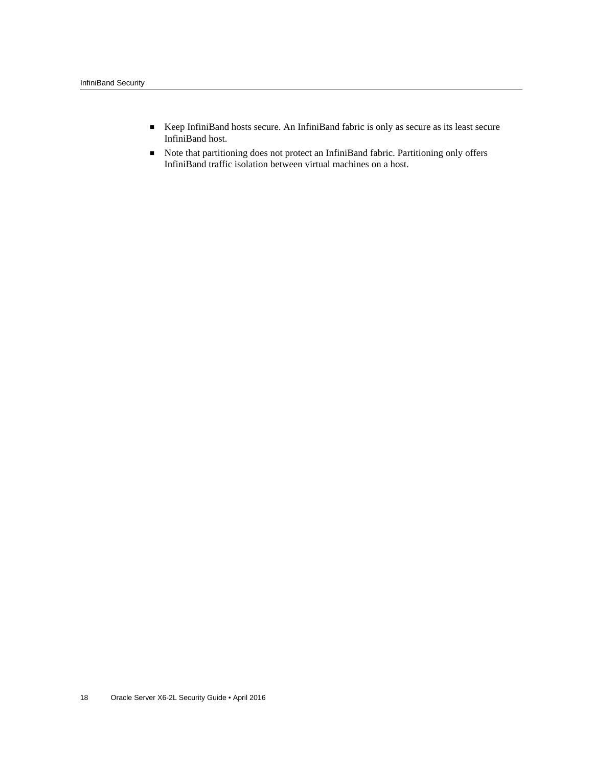- Keep InfiniBand hosts secure. An InfiniBand fabric is only as secure as its least secure InfiniBand host.
- Note that partitioning does not protect an InfiniBand fabric. Partitioning only offers InfiniBand traffic isolation between virtual machines on a host.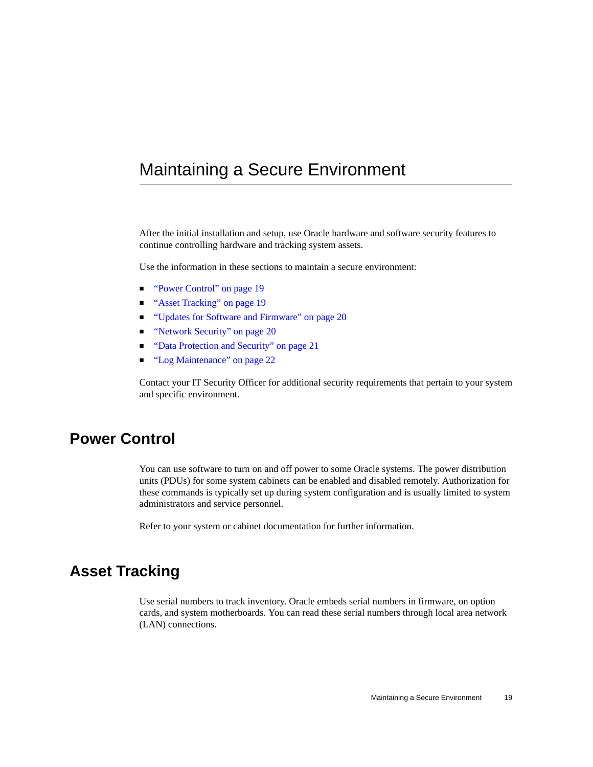# <span id="page-18-0"></span>Maintaining a Secure Environment

After the initial installation and setup, use Oracle hardware and software security features to continue controlling hardware and tracking system assets.

Use the information in these sections to maintain a secure environment:

- ["Power Control" on page 19](#page-18-1)
- ["Asset Tracking" on page 19](#page-18-2)
- ["Updates for Software and Firmware" on page 20](#page-19-0)
- ["Network Security" on page 20](#page-19-1)
- ["Data Protection and Security" on page 21](#page-20-0)
- ["Log Maintenance" on page 22](#page-21-0)

Contact your IT Security Officer for additional security requirements that pertain to your system and specific environment.

### <span id="page-18-1"></span>**Power Control**

You can use software to turn on and off power to some Oracle systems. The power distribution units (PDUs) for some system cabinets can be enabled and disabled remotely. Authorization for these commands is typically set up during system configuration and is usually limited to system administrators and service personnel.

Refer to your system or cabinet documentation for further information.

# <span id="page-18-2"></span>**Asset Tracking**

Use serial numbers to track inventory. Oracle embeds serial numbers in firmware, on option cards, and system motherboards. You can read these serial numbers through local area network (LAN) connections.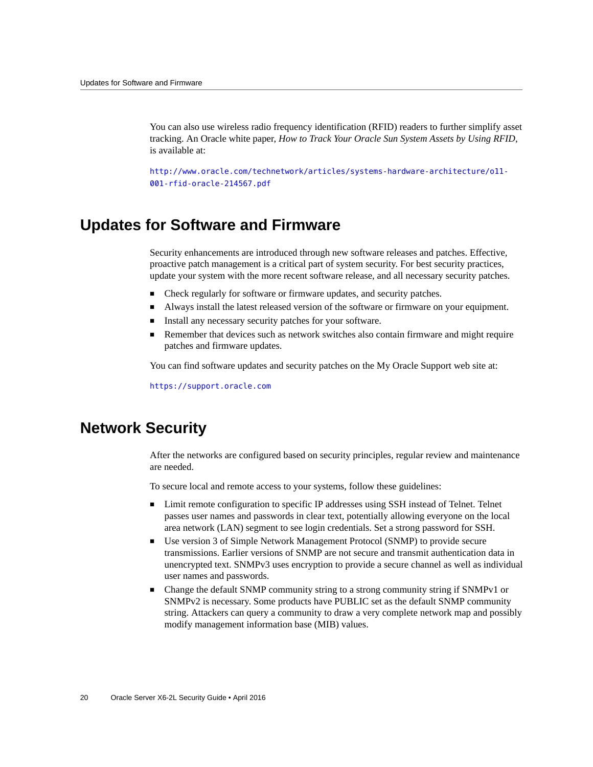You can also use wireless radio frequency identification (RFID) readers to further simplify asset tracking. An Oracle white paper, *How to Track Your Oracle Sun System Assets by Using RFID*, is available at:

[http://www.oracle.com/technetwork/articles/systems-hardware-architecture/o11-](http://www.oracle.com/technetwork/articles/systems-hardware-architecture/o11-001-rfid-oracle-214567.pdf) [001-rfid-oracle-214567.pdf](http://www.oracle.com/technetwork/articles/systems-hardware-architecture/o11-001-rfid-oracle-214567.pdf)

# <span id="page-19-0"></span>**Updates for Software and Firmware**

Security enhancements are introduced through new software releases and patches. Effective, proactive patch management is a critical part of system security. For best security practices, update your system with the more recent software release, and all necessary security patches.

- Check regularly for software or firmware updates, and security patches.
- Always install the latest released version of the software or firmware on your equipment.
- Install any necessary security patches for your software.
- Remember that devices such as network switches also contain firmware and might require patches and firmware updates.

You can find software updates and security patches on the My Oracle Support web site at:

<https://support.oracle.com>

### <span id="page-19-1"></span>**Network Security**

After the networks are configured based on security principles, regular review and maintenance are needed.

To secure local and remote access to your systems, follow these guidelines:

- Limit remote configuration to specific IP addresses using SSH instead of Telnet. Telnet passes user names and passwords in clear text, potentially allowing everyone on the local area network (LAN) segment to see login credentials. Set a strong password for SSH.
- Use version 3 of Simple Network Management Protocol (SNMP) to provide secure transmissions. Earlier versions of SNMP are not secure and transmit authentication data in unencrypted text. SNMPv3 uses encryption to provide a secure channel as well as individual user names and passwords.
- Change the default SNMP community string to a strong community string if SNMPv1 or SNMPv2 is necessary. Some products have PUBLIC set as the default SNMP community string. Attackers can query a community to draw a very complete network map and possibly modify management information base (MIB) values.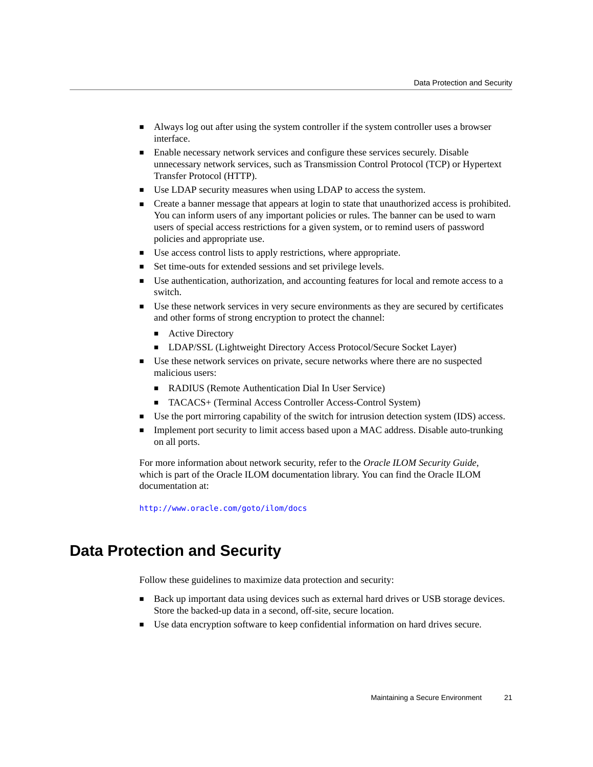- Always log out after using the system controller if the system controller uses a browser interface.
- Enable necessary network services and configure these services securely. Disable unnecessary network services, such as Transmission Control Protocol (TCP) or Hypertext Transfer Protocol (HTTP).
- Use LDAP security measures when using LDAP to access the system.
- Create a banner message that appears at login to state that unauthorized access is prohibited. You can inform users of any important policies or rules. The banner can be used to warn users of special access restrictions for a given system, or to remind users of password policies and appropriate use.
- Use access control lists to apply restrictions, where appropriate.
- Set time-outs for extended sessions and set privilege levels.
- Use authentication, authorization, and accounting features for local and remote access to a switch.
- Use these network services in very secure environments as they are secured by certificates and other forms of strong encryption to protect the channel:
	- Active Directory
	- LDAP/SSL (Lightweight Directory Access Protocol/Secure Socket Layer)
- Use these network services on private, secure networks where there are no suspected malicious users:
	- RADIUS (Remote Authentication Dial In User Service)
	- TACACS+ (Terminal Access Controller Access-Control System)
- Use the port mirroring capability of the switch for intrusion detection system (IDS) access.
- Implement port security to limit access based upon a MAC address. Disable auto-trunking on all ports.

For more information about network security, refer to the *Oracle ILOM Security Guide*, which is part of the Oracle ILOM documentation library. You can find the Oracle ILOM documentation at:

<http://www.oracle.com/goto/ilom/docs>

# <span id="page-20-0"></span>**Data Protection and Security**

Follow these guidelines to maximize data protection and security:

- Back up important data using devices such as external hard drives or USB storage devices. Store the backed-up data in a second, off-site, secure location.
- Use data encryption software to keep confidential information on hard drives secure.